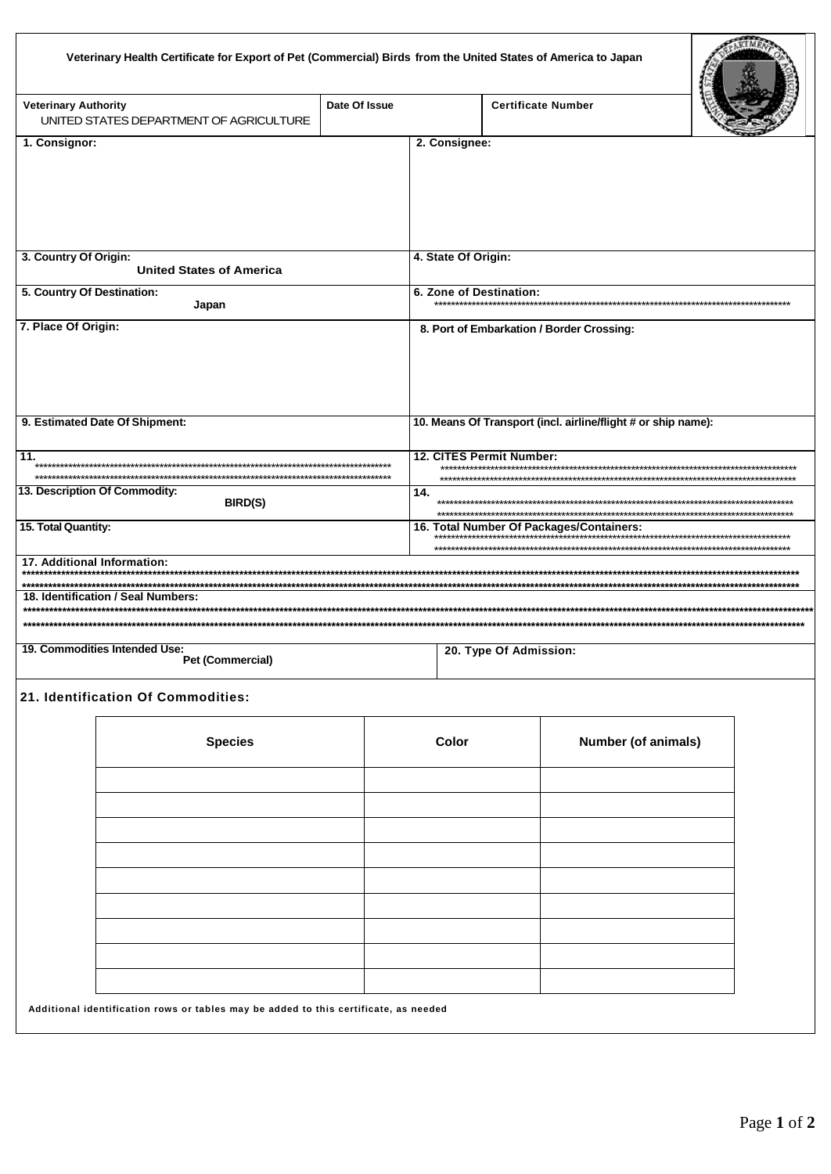| Veterinary Health Certificate for Export of Pet (Commercial) Birds from the United States of America to Japan |  |  |
|---------------------------------------------------------------------------------------------------------------|--|--|
|                                                                                                               |  |  |

| <b>Veterinary Authority</b><br>UNITED STATES DEPARTMENT OF AGRICULTURE | Date Of Issue |                         | <b>Certificate Number</b>                                     |  |
|------------------------------------------------------------------------|---------------|-------------------------|---------------------------------------------------------------|--|
| 1. Consignor:                                                          |               | 2. Consignee:           |                                                               |  |
|                                                                        |               |                         |                                                               |  |
| 3. Country Of Origin:                                                  |               | 4. State Of Origin:     |                                                               |  |
| <b>United States of America</b>                                        |               |                         |                                                               |  |
| 5. Country Of Destination:                                             |               | 6. Zone of Destination: |                                                               |  |
| Japan                                                                  |               |                         |                                                               |  |
| 7. Place Of Origin:                                                    |               |                         | 8. Port of Embarkation / Border Crossing:                     |  |
| 9. Estimated Date Of Shipment:                                         |               |                         | 10. Means Of Transport (incl. airline/flight # or ship name): |  |
| 11.                                                                    |               |                         | 12. CITES Permit Number:                                      |  |
| 13. Description Of Commodity:<br><b>BIRD(S)</b>                        |               | 14.                     |                                                               |  |
| 15. Total Quantity:                                                    |               |                         | 16. Total Number Of Packages/Containers:                      |  |
| 17. Additional Information:                                            |               |                         |                                                               |  |
| 18. Identification / Seal Numbers:                                     |               |                         |                                                               |  |
| 19. Commodities Intended Use:                                          |               |                         | 20. Type Of Admission:                                        |  |

Pet (Commercial)

УF

## 21. Identification Of Commodities:

| <b>Species</b>                                                                                                                                                      | Color                                     | Number (of animals) |
|---------------------------------------------------------------------------------------------------------------------------------------------------------------------|-------------------------------------------|---------------------|
|                                                                                                                                                                     |                                           |                     |
|                                                                                                                                                                     |                                           |                     |
|                                                                                                                                                                     |                                           |                     |
|                                                                                                                                                                     |                                           |                     |
|                                                                                                                                                                     |                                           |                     |
|                                                                                                                                                                     |                                           |                     |
|                                                                                                                                                                     |                                           |                     |
|                                                                                                                                                                     |                                           |                     |
|                                                                                                                                                                     |                                           |                     |
| the contract of the contract of the contract of the contract of the contract of the contract of the contract of<br>$\sim$ $\sim$ $\sim$ $\sim$ $\sim$ $\sim$ $\sim$ | $\sim$ $\sim$ $\sim$ $\sim$ $\sim$<br>. . |                     |

Additional identification rows or tables may be added to this certificate, as needed